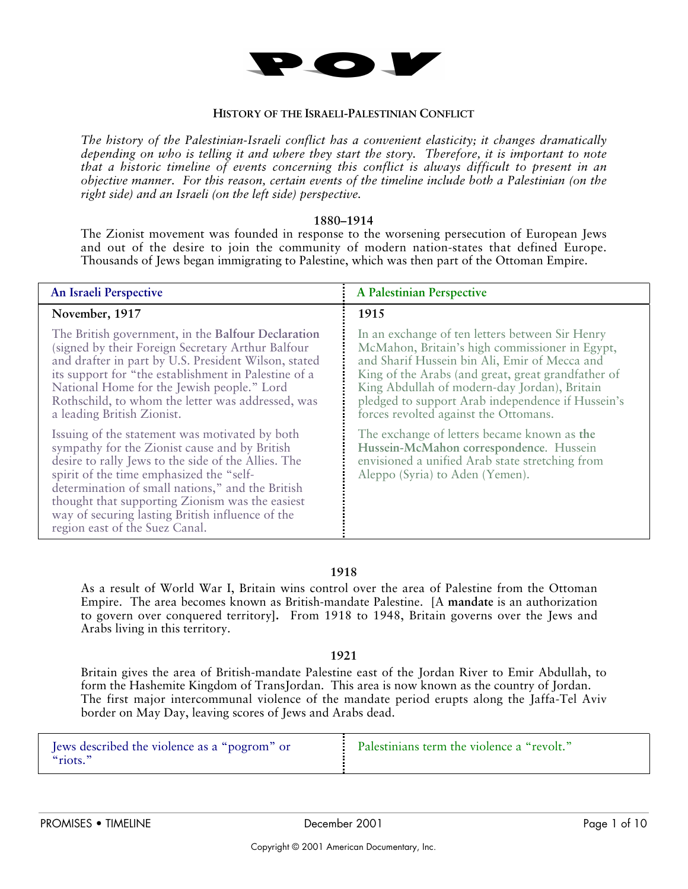

### **HISTORY OF THE ISRAELI-PALESTINIAN CONFLICT**

*The history of the Palestinian-Israeli conflict has a convenient elasticity; it changes dramatically depending on who is telling it and where they start the story. Therefore, it is important to note that a historic timeline of events concerning this conflict is always difficult to present in an objective manner. For this reason, certain events of the timeline include both a Palestinian (on the right side) and an Israeli (on the left side) perspective.*

#### **1880–1914**

The Zionist movement was founded in response to the worsening persecution of European Jews and out of the desire to join the community of modern nation-states that defined Europe. Thousands of Jews began immigrating to Palestine, which was then part of the Ottoman Empire.

| An Israeli Perspective                                                                                                                                                                                                                                                                                                                                                                          | A Palestinian Perspective                                                                                                                                                                                                                                                                                                                              |
|-------------------------------------------------------------------------------------------------------------------------------------------------------------------------------------------------------------------------------------------------------------------------------------------------------------------------------------------------------------------------------------------------|--------------------------------------------------------------------------------------------------------------------------------------------------------------------------------------------------------------------------------------------------------------------------------------------------------------------------------------------------------|
| November, 1917                                                                                                                                                                                                                                                                                                                                                                                  | 1915                                                                                                                                                                                                                                                                                                                                                   |
| The British government, in the Balfour Declaration<br>(signed by their Foreign Secretary Arthur Balfour<br>and drafter in part by U.S. President Wilson, stated<br>its support for "the establishment in Palestine of a<br>National Home for the Jewish people." Lord<br>Rothschild, to whom the letter was addressed, was<br>a leading British Zionist.                                        | In an exchange of ten letters between Sir Henry<br>McMahon, Britain's high commissioner in Egypt,<br>and Sharif Hussein bin Ali, Emir of Mecca and<br>King of the Arabs (and great, great grandfather of<br>King Abdullah of modern-day Jordan), Britain<br>pledged to support Arab independence if Hussein's<br>forces revolted against the Ottomans. |
| Issuing of the statement was motivated by both<br>sympathy for the Zionist cause and by British<br>desire to rally Jews to the side of the Allies. The<br>spirit of the time emphasized the "self-<br>determination of small nations," and the British<br>thought that supporting Zionism was the easiest<br>way of securing lasting British influence of the<br>region east of the Suez Canal. | The exchange of letters became known as the<br>Hussein-McMahon correspondence. Hussein<br>envisioned a unified Arab state stretching from<br>Aleppo (Syria) to Aden (Yemen).                                                                                                                                                                           |

# **1918**

As a result of World War I, Britain wins control over the area of Palestine from the Ottoman Empire. The area becomes known as British-mandate Palestine. [A **mandate** is an authorization to govern over conquered territory**].** From 1918 to 1948, Britain governs over the Jews and Arabs living in this territory.

### **1921**

Britain gives the area of British-mandate Palestine east of the Jordan River to Emir Abdullah, to form the Hashemite Kingdom of TransJordan. This area is now known as the country of Jordan. The first major intercommunal violence of the mandate period erupts along the Jaffa-Tel Aviv border on May Day, leaving scores of Jews and Arabs dead.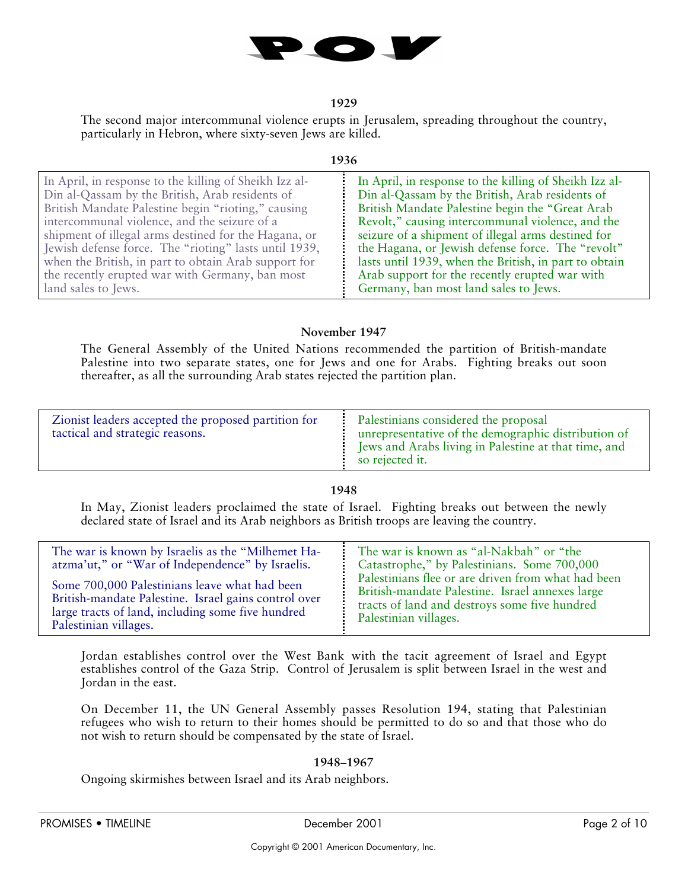

## **1929**

The second major intercommunal violence erupts in Jerusalem, spreading throughout the country, particularly in Hebron, where sixty-seven Jews are killed.

#### **1936**

# **November 1947**

The General Assembly of the United Nations recommended the partition of British-mandate Palestine into two separate states, one for Jews and one for Arabs. Fighting breaks out soon thereafter, as all the surrounding Arab states rejected the partition plan.

| Zionist leaders accepted the proposed partition for<br>tactical and strategic reasons. | Palestinians considered the proposal<br>unrepresentative of the demographic distribution of<br><b>EVALUATE:</b> Jews and Arabs living in Palestine at that time, and |
|----------------------------------------------------------------------------------------|----------------------------------------------------------------------------------------------------------------------------------------------------------------------|
|                                                                                        | so rejected it.                                                                                                                                                      |

# **1948**

In May, Zionist leaders proclaimed the state of Israel. Fighting breaks out between the newly declared state of Israel and its Arab neighbors as British troops are leaving the country.

| The war is known by Israelis as the "Milhemet Ha-    | The war is known as "al-Nakbah" or "the            |
|------------------------------------------------------|----------------------------------------------------|
| atzma'ut," or "War of Independence" by Israelis.     | Catastrophe," by Palestinians. Some 700,000        |
| Some 700,000 Palestinians leave what had been        | Palestinians flee or are driven from what had been |
| British-mandate Palestine. Israel gains control over | British-mandate Palestine. Israel annexes large    |
| large tracts of land, including some five hundred    | tracts of land and destroys some five hundred      |
| Palestinian villages.                                | Palestinian villages.                              |

Jordan establishes control over the West Bank with the tacit agreement of Israel and Egypt establishes control of the Gaza Strip. Control of Jerusalem is split between Israel in the west and Jordan in the east.

On December 11, the UN General Assembly passes Resolution 194, stating that Palestinian refugees who wish to return to their homes should be permitted to do so and that those who do not wish to return should be compensated by the state of Israel.

# **1948–1967**

Ongoing skirmishes between Israel and its Arab neighbors.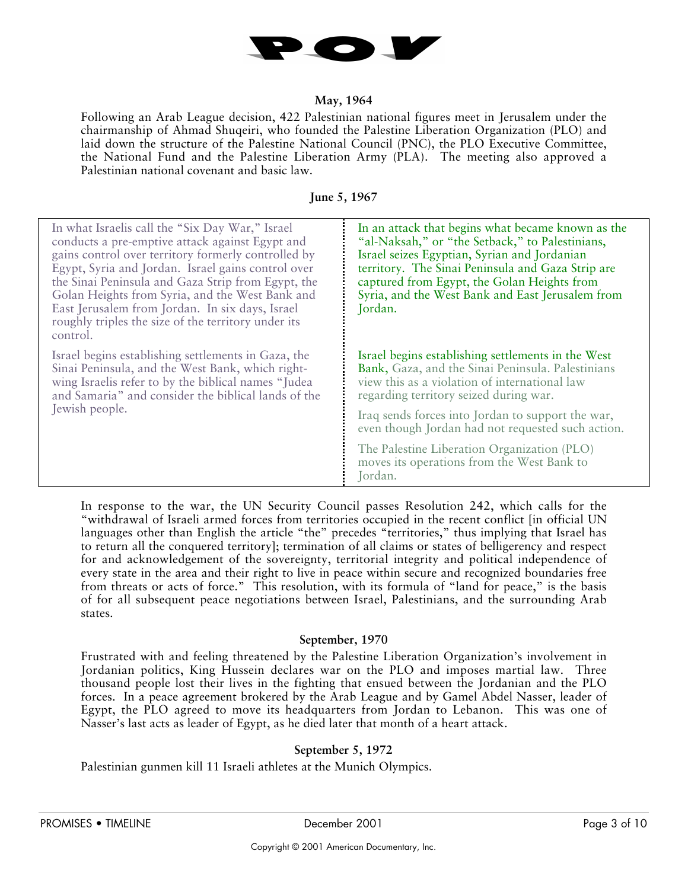

## **May, 1964**

Following an Arab League decision, 422 Palestinian national figures meet in Jerusalem under the chairmanship of Ahmad Shuqeiri, who founded the Palestine Liberation Organization (PLO) and laid down the structure of the Palestine National Council (PNC), the PLO Executive Committee, the National Fund and the Palestine Liberation Army (PLA). The meeting also approved a Palestinian national covenant and basic law.

## **June 5, 1967**

| In what Israelis call the "Six Day War," Israel<br>conducts a pre-emptive attack against Egypt and<br>gains control over territory formerly controlled by<br>Egypt, Syria and Jordan. Israel gains control over<br>the Sinai Peninsula and Gaza Strip from Egypt, the<br>Golan Heights from Syria, and the West Bank and<br>East Jerusalem from Jordan. In six days, Israel<br>roughly triples the size of the territory under its<br>control. | In an attack that begins what became known as the<br>"al-Naksah," or "the Setback," to Palestinians,<br>Israel seizes Egyptian, Syrian and Jordanian<br>territory. The Sinai Peninsula and Gaza Strip are<br>captured from Egypt, the Golan Heights from<br>Syria, and the West Bank and East Jerusalem from<br>Jordan. |
|------------------------------------------------------------------------------------------------------------------------------------------------------------------------------------------------------------------------------------------------------------------------------------------------------------------------------------------------------------------------------------------------------------------------------------------------|-------------------------------------------------------------------------------------------------------------------------------------------------------------------------------------------------------------------------------------------------------------------------------------------------------------------------|
| Israel begins establishing settlements in Gaza, the<br>Sinai Peninsula, and the West Bank, which right-<br>wing Israelis refer to by the biblical names "Judea"<br>and Samaria" and consider the biblical lands of the<br>Jewish people.                                                                                                                                                                                                       | Israel begins establishing settlements in the West<br>Bank, Gaza, and the Sinai Peninsula. Palestinians<br>view this as a violation of international law<br>regarding territory seized during war.                                                                                                                      |
|                                                                                                                                                                                                                                                                                                                                                                                                                                                | Iraq sends forces into Jordan to support the war,<br>even though Jordan had not requested such action.                                                                                                                                                                                                                  |
|                                                                                                                                                                                                                                                                                                                                                                                                                                                | The Palestine Liberation Organization (PLO)<br>moves its operations from the West Bank to<br>Jordan.                                                                                                                                                                                                                    |

In response to the war, the UN Security Council passes Resolution 242, which calls for the "withdrawal of Israeli armed forces from territories occupied in the recent conflict [in official UN languages other than English the article "the" precedes "territories," thus implying that Israel has to return all the conquered territory]; termination of all claims or states of belligerency and respect for and acknowledgement of the sovereignty, territorial integrity and political independence of every state in the area and their right to live in peace within secure and recognized boundaries free from threats or acts of force." This resolution, with its formula of "land for peace," is the basis of for all subsequent peace negotiations between Israel, Palestinians, and the surrounding Arab states.

### **September, 1970**

Frustrated with and feeling threatened by the Palestine Liberation Organization's involvement in Jordanian politics, King Hussein declares war on the PLO and imposes martial law. Three thousand people lost their lives in the fighting that ensued between the Jordanian and the PLO forces. In a peace agreement brokered by the Arab League and by Gamel Abdel Nasser, leader of Egypt, the PLO agreed to move its headquarters from Jordan to Lebanon. This was one of Nasser's last acts as leader of Egypt, as he died later that month of a heart attack.

# **September 5, 1972**

Palestinian gunmen kill 11 Israeli athletes at the Munich Olympics.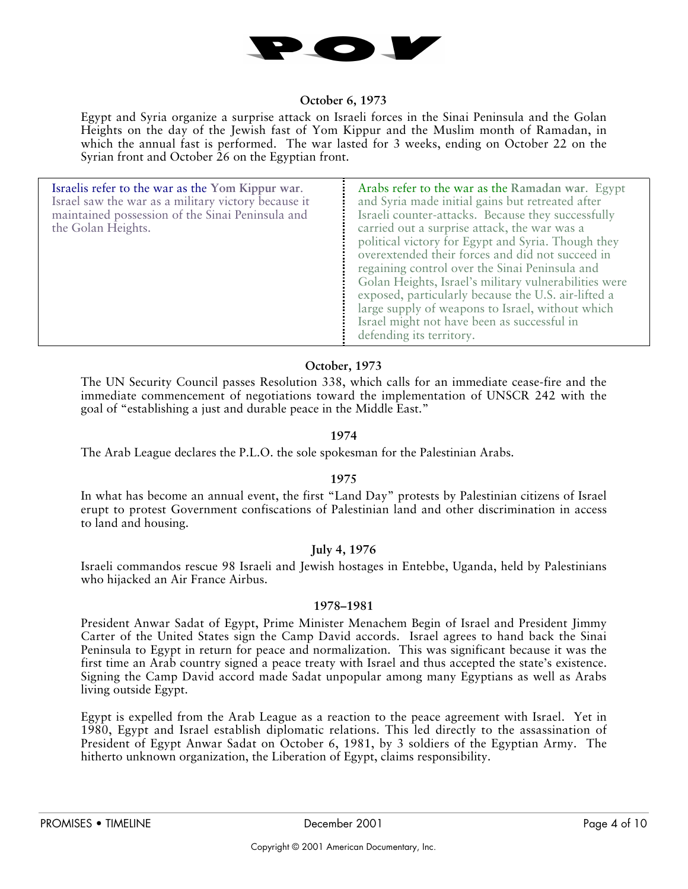

## **October 6, 1973**

Egypt and Syria organize a surprise attack on Israeli forces in the Sinai Peninsula and the Golan Heights on the day of the Jewish fast of Yom Kippur and the Muslim month of Ramadan, in which the annual fast is performed. The war lasted for 3 weeks, ending on October 22 on the Syrian front and October 26 on the Egyptian front.

| Israelis refer to the war as the Yom Kippur war.<br>Israel saw the war as a military victory because it<br>maintained possession of the Sinai Peninsula and<br>the Golan Heights. | Arabs refer to the war as the Ramadan war. Egypt<br>and Syria made initial gains but retreated after<br>Israeli counter-attacks. Because they successfully<br>carried out a surprise attack, the war was a<br>political victory for Egypt and Syria. Though they<br>overextended their forces and did not succeed in<br>regaining control over the Sinai Peninsula and<br>Golan Heights, Israel's military vulnerabilities were<br>exposed, particularly because the U.S. air-lifted a<br>large supply of weapons to Israel, without which<br>Israel might not have been as successful in |
|-----------------------------------------------------------------------------------------------------------------------------------------------------------------------------------|-------------------------------------------------------------------------------------------------------------------------------------------------------------------------------------------------------------------------------------------------------------------------------------------------------------------------------------------------------------------------------------------------------------------------------------------------------------------------------------------------------------------------------------------------------------------------------------------|
|                                                                                                                                                                                   | defending its territory.                                                                                                                                                                                                                                                                                                                                                                                                                                                                                                                                                                  |

# **October, 1973**

The UN Security Council passes Resolution 338, which calls for an immediate cease-fire and the immediate commencement of negotiations toward the implementation of UNSCR 242 with the goal of "establishing a just and durable peace in the Middle East."

# **1974**

The Arab League declares the P.L.O. the sole spokesman for the Palestinian Arabs.

# **1975**

In what has become an annual event, the first "Land Day" protests by Palestinian citizens of Israel erupt to protest Government confiscations of Palestinian land and other discrimination in access to land and housing.

# **July 4, 1976**

Israeli commandos rescue 98 Israeli and Jewish hostages in Entebbe, Uganda, held by Palestinians who hijacked an Air France Airbus.

### **1978–1981**

President Anwar Sadat of Egypt, Prime Minister Menachem Begin of Israel and President Jimmy Carter of the United States sign the Camp David accords. Israel agrees to hand back the Sinai Peninsula to Egypt in return for peace and normalization. This was significant because it was the first time an Arab country signed a peace treaty with Israel and thus accepted the state's existence. Signing the Camp David accord made Sadat unpopular among many Egyptians as well as Arabs living outside Egypt.

Egypt is expelled from the Arab League as a reaction to the peace agreement with Israel. Yet in 1980, Egypt and Israel establish diplomatic relations. This led directly to the assassination of President of Egypt Anwar Sadat on October 6, 1981, by 3 soldiers of the Egyptian Army. The hitherto unknown organization, the Liberation of Egypt, claims responsibility.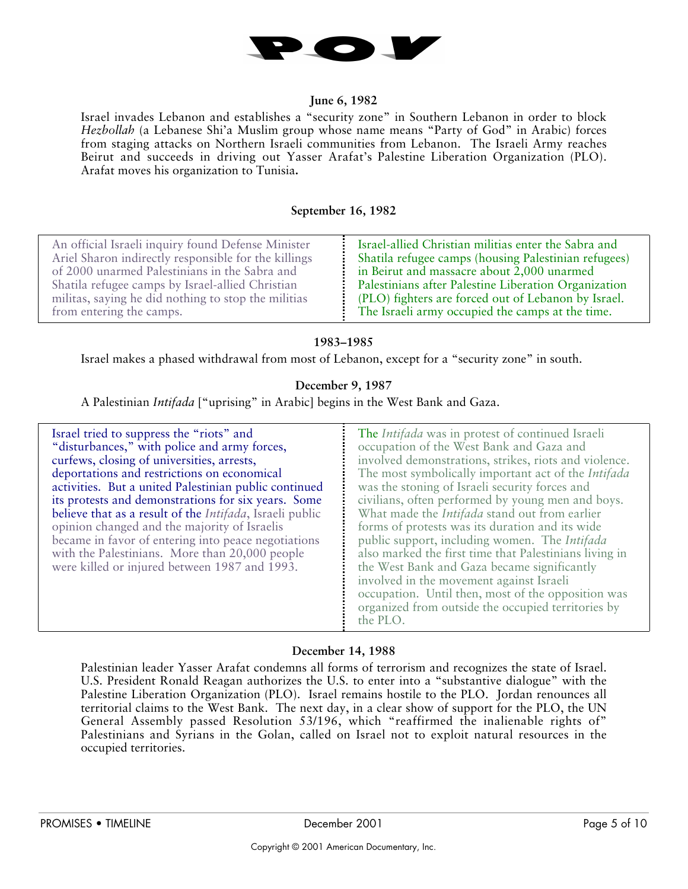

## **June 6, 1982**

Israel invades Lebanon and establishes a "security zone" in Southern Lebanon in order to block *Hezbollah* (a Lebanese Shi'a Muslim group whose name means "Party of God" in Arabic) forces from staging attacks on Northern Israeli communities from Lebanon. The Israeli Army reaches Beirut and succeeds in driving out Yasser Arafat's Palestine Liberation Organization (PLO). Arafat moves his organization to Tunisia**.**

# **September 16, 1982**

| An official Israeli inquiry found Defense Minister<br>Israel-allied Christian militias enter the Sabra and<br>Shatila refugee camps (housing Palestinian refugees)<br>Ariel Sharon indirectly responsible for the killings<br>of 2000 unarmed Palestinians in the Sabra and<br>in Beirut and massacre about 2,000 unarmed<br>Palestinians after Palestine Liberation Organization<br>Shatila refugee camps by Israel-allied Christian<br>(PLO) fighters are forced out of Lebanon by Israel.<br>militas, saying he did nothing to stop the militias<br>The Israeli army occupied the camps at the time.<br>from entering the camps. |  |
|-------------------------------------------------------------------------------------------------------------------------------------------------------------------------------------------------------------------------------------------------------------------------------------------------------------------------------------------------------------------------------------------------------------------------------------------------------------------------------------------------------------------------------------------------------------------------------------------------------------------------------------|--|
|-------------------------------------------------------------------------------------------------------------------------------------------------------------------------------------------------------------------------------------------------------------------------------------------------------------------------------------------------------------------------------------------------------------------------------------------------------------------------------------------------------------------------------------------------------------------------------------------------------------------------------------|--|

# **1983–1985**

Israel makes a phased withdrawal from most of Lebanon, except for a "security zone" in south.

# **December 9, 1987**

A Palestinian *Intifada* ["uprising" in Arabic] begins in the West Bank and Gaza.

| Israel tried to suppress the "riots" and<br>"disturbances," with police and army forces,<br>curfews, closing of universities, arrests,<br>deportations and restrictions on economical<br>activities. But a united Palestinian public continued<br>its protests and demonstrations for six years. Some<br>believe that as a result of the <i>Intifada</i> , Israeli public<br>opinion changed and the majority of Israelis<br>became in favor of entering into peace negotiations<br>with the Palestinians. More than 20,000 people<br>were killed or injured between 1987 and 1993. | The Intifada was in protest of continued Israeli<br>occupation of the West Bank and Gaza and<br>involved demonstrations, strikes, riots and violence.<br>The most symbolically important act of the Intifada<br>was the stoning of Israeli security forces and<br>civilians, often performed by young men and boys.<br>What made the <i>Intifada</i> stand out from earlier<br>forms of protests was its duration and its wide<br>public support, including women. The Intifada<br>also marked the first time that Palestinians living in<br>the West Bank and Gaza became significantly<br>involved in the movement against Israeli<br>occupation. Until then, most of the opposition was<br>organized from outside the occupied territories by<br>the PLO. |
|-------------------------------------------------------------------------------------------------------------------------------------------------------------------------------------------------------------------------------------------------------------------------------------------------------------------------------------------------------------------------------------------------------------------------------------------------------------------------------------------------------------------------------------------------------------------------------------|--------------------------------------------------------------------------------------------------------------------------------------------------------------------------------------------------------------------------------------------------------------------------------------------------------------------------------------------------------------------------------------------------------------------------------------------------------------------------------------------------------------------------------------------------------------------------------------------------------------------------------------------------------------------------------------------------------------------------------------------------------------|
|-------------------------------------------------------------------------------------------------------------------------------------------------------------------------------------------------------------------------------------------------------------------------------------------------------------------------------------------------------------------------------------------------------------------------------------------------------------------------------------------------------------------------------------------------------------------------------------|--------------------------------------------------------------------------------------------------------------------------------------------------------------------------------------------------------------------------------------------------------------------------------------------------------------------------------------------------------------------------------------------------------------------------------------------------------------------------------------------------------------------------------------------------------------------------------------------------------------------------------------------------------------------------------------------------------------------------------------------------------------|

# **December 14, 1988**

Palestinian leader Yasser Arafat condemns all forms of terrorism and recognizes the state of Israel. U.S. President Ronald Reagan authorizes the U.S. to enter into a "substantive dialogue" with the Palestine Liberation Organization (PLO). Israel remains hostile to the PLO. Jordan renounces all territorial claims to the West Bank. The next day, in a clear show of support for the PLO, the UN General Assembly passed Resolution 53/196, which "reaffirmed the inalienable rights of" Palestinians and Syrians in the Golan, called on Israel not to exploit natural resources in the occupied territories.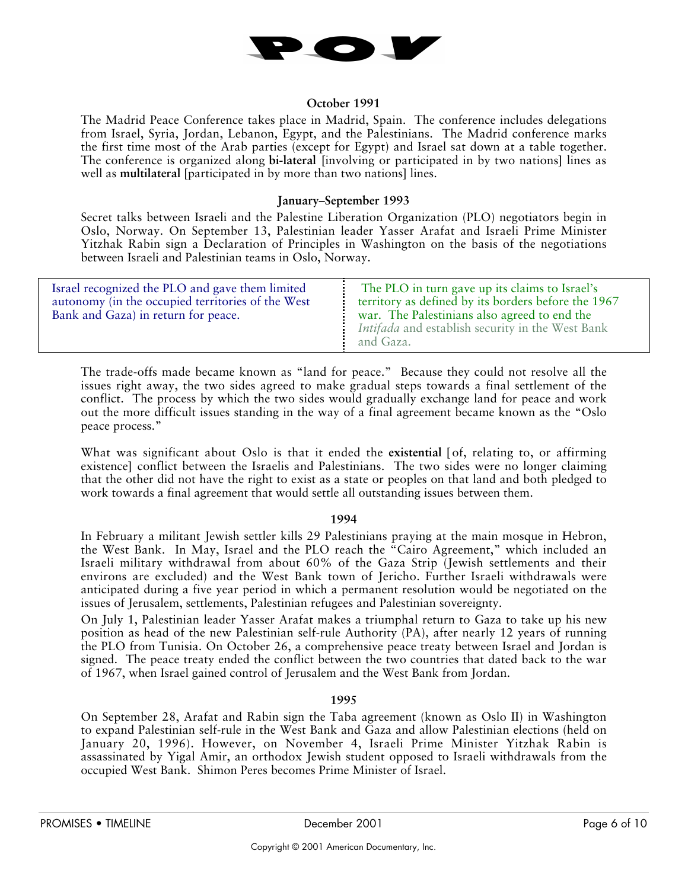

## **October 1991**

The Madrid Peace Conference takes place in Madrid, Spain. The conference includes delegations from Israel, Syria, Jordan, Lebanon, Egypt, and the Palestinians. The Madrid conference marks the first time most of the Arab parties (except for Egypt) and Israel sat down at a table together. The conference is organized along **bi-lateral [**involving or participated in by two nations**]** lines as well as **multilateral [**participated in by more than two nations**]** lines.

## **January–September 1993**

Secret talks between Israeli and the Palestine Liberation Organization (PLO) negotiators begin in Oslo, Norway. On September 13, Palestinian leader Yasser Arafat and Israeli Prime Minister Yitzhak Rabin sign a Declaration of Principles in Washington on the basis of the negotiations between Israeli and Palestinian teams in Oslo, Norway.

| Israel recognized the PLO and gave them limited<br>autonomy (in the occupied territories of the West<br>Bank and Gaza) in return for peace. | The PLO in turn gave up its claims to Israel's<br>territory as defined by its borders before the 1967<br>war. The Palestinians also agreed to end the<br><i>Intifada</i> and establish security in the West Bank<br>and Gaza. |
|---------------------------------------------------------------------------------------------------------------------------------------------|-------------------------------------------------------------------------------------------------------------------------------------------------------------------------------------------------------------------------------|
|---------------------------------------------------------------------------------------------------------------------------------------------|-------------------------------------------------------------------------------------------------------------------------------------------------------------------------------------------------------------------------------|

The trade-offs made became known as "land for peace." Because they could not resolve all the issues right away, the two sides agreed to make gradual steps towards a final settlement of the conflict. The process by which the two sides would gradually exchange land for peace and work out the more difficult issues standing in the way of a final agreement became known as the "Oslo peace process."

What was significant about Oslo is that it ended the **existential [**of, relating to, or affirming existence**]** conflict between the Israelis and Palestinians. The two sides were no longer claiming that the other did not have the right to exist as a state or peoples on that land and both pledged to work towards a final agreement that would settle all outstanding issues between them.

### **1994**

In February a militant Jewish settler kills 29 Palestinians praying at the main mosque in Hebron, the West Bank. In May, Israel and the PLO reach the "Cairo Agreement," which included an Israeli military withdrawal from about 60% of the Gaza Strip (Jewish settlements and their environs are excluded) and the West Bank town of Jericho. Further Israeli withdrawals were anticipated during a five year period in which a permanent resolution would be negotiated on the issues of Jerusalem, settlements, Palestinian refugees and Palestinian sovereignty.

On July 1, Palestinian leader Yasser Arafat makes a triumphal return to Gaza to take up his new position as head of the new Palestinian self-rule Authority (PA), after nearly 12 years of running the PLO from Tunisia. On October 26, a comprehensive peace treaty between Israel and Jordan is signed. The peace treaty ended the conflict between the two countries that dated back to the war of 1967, when Israel gained control of Jerusalem and the West Bank from Jordan.

### **1995**

On September 28, Arafat and Rabin sign the Taba agreement (known as Oslo II) in Washington to expand Palestinian self-rule in the West Bank and Gaza and allow Palestinian elections (held on January 20, 1996). However, on November 4, Israeli Prime Minister Yitzhak Rabin is assassinated by Yigal Amir, an orthodox Jewish student opposed to Israeli withdrawals from the occupied West Bank. Shimon Peres becomes Prime Minister of Israel.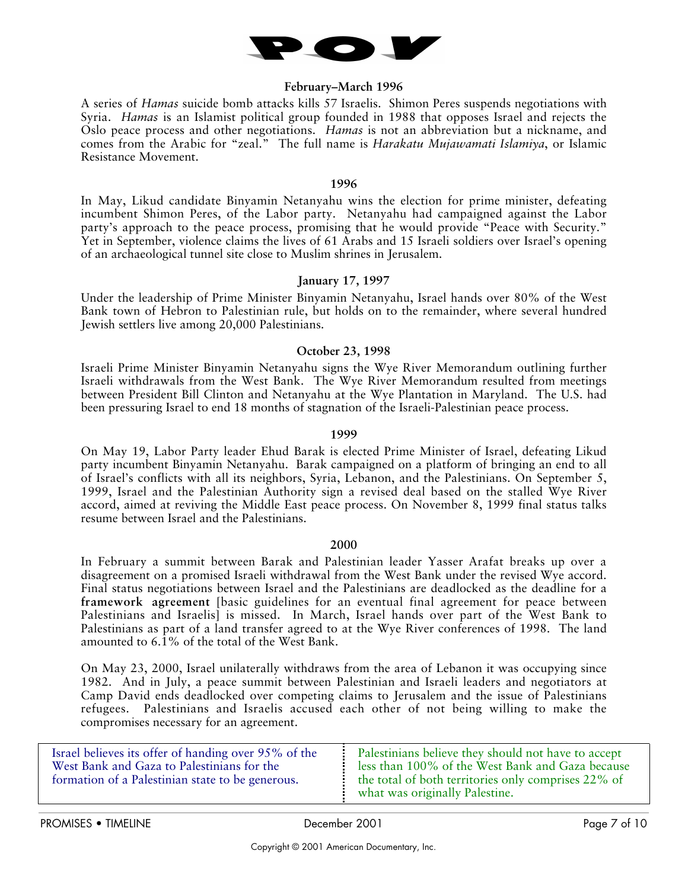

## **February–March 1996**

A series of *Hamas* suicide bomb attacks kills 57 Israelis. Shimon Peres suspends negotiations with Syria. *Hamas* is an Islamist political group founded in 1988 that opposes Israel and rejects the Oslo peace process and other negotiations. *Hamas* is not an abbreviation but a nickname, and comes from the Arabic for "zeal." The full name is *Harakatu Mujawamati Islamiya*, or Islamic Resistance Movement.

#### **1996**

In May, Likud candidate Binyamin Netanyahu wins the election for prime minister, defeating incumbent Shimon Peres, of the Labor party. Netanyahu had campaigned against the Labor party's approach to the peace process, promising that he would provide "Peace with Security." Yet in September, violence claims the lives of 61 Arabs and 15 Israeli soldiers over Israel's opening of an archaeological tunnel site close to Muslim shrines in Jerusalem.

# **January 17, 1997**

Under the leadership of Prime Minister Binyamin Netanyahu, Israel hands over 80% of the West Bank town of Hebron to Palestinian rule, but holds on to the remainder, where several hundred Jewish settlers live among 20,000 Palestinians.

# **October 23, 1998**

Israeli Prime Minister Binyamin Netanyahu signs the Wye River Memorandum outlining further Israeli withdrawals from the West Bank. The Wye River Memorandum resulted from meetings between President Bill Clinton and Netanyahu at the Wye Plantation in Maryland. The U.S. had been pressuring Israel to end 18 months of stagnation of the Israeli-Palestinian peace process.

## **1999**

On May 19, Labor Party leader Ehud Barak is elected Prime Minister of Israel, defeating Likud party incumbent Binyamin Netanyahu. Barak campaigned on a platform of bringing an end to all of Israel's conflicts with all its neighbors, Syria, Lebanon, and the Palestinians. On September 5, 1999, Israel and the Palestinian Authority sign a revised deal based on the stalled Wye River accord, aimed at reviving the Middle East peace process. On November 8, 1999 final status talks resume between Israel and the Palestinians.

### **2000**

In February a summit between Barak and Palestinian leader Yasser Arafat breaks up over a disagreement on a promised Israeli withdrawal from the West Bank under the revised Wye accord. Final status negotiations between Israel and the Palestinians are deadlocked as the deadline for a **framework agreement** [basic guidelines for an eventual final agreement for peace between Palestinians and Israelis] is missed. In March, Israel hands over part of the West Bank to Palestinians as part of a land transfer agreed to at the Wye River conferences of 1998. The land amounted to 6.1% of the total of the West Bank.

On May 23, 2000, Israel unilaterally withdraws from the area of Lebanon it was occupying since 1982. And in July, a peace summit between Palestinian and Israeli leaders and negotiators at Camp David ends deadlocked over competing claims to Jerusalem and the issue of Palestinians refugees. Palestinians and Israelis accused each other of not being willing to make the compromises necessary for an agreement.

| Israel believes its offer of handing over 95% of the | Palestinians believe they should not have to accept                                   |
|------------------------------------------------------|---------------------------------------------------------------------------------------|
| West Bank and Gaza to Palestinians for the           | less than 100% of the West Bank and Gaza because                                      |
| formation of a Palestinian state to be generous.     | the total of both territories only comprises 22% of<br>what was originally Palestine. |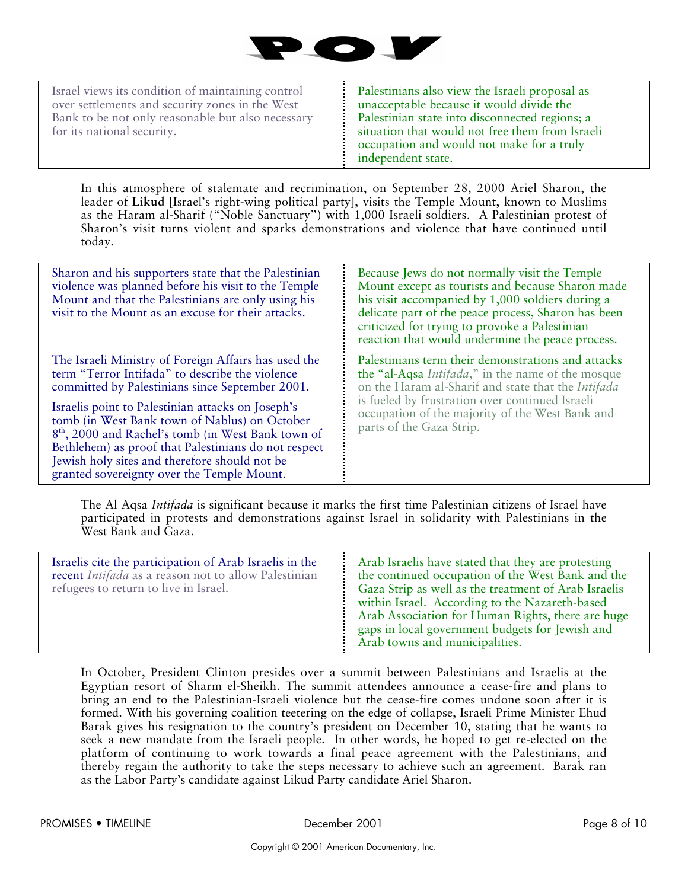

Israel views its condition of maintaining control over settlements and security zones in the West Bank to be not only reasonable but also necessary for its national security.

Palestinians also view the Israeli proposal as unacceptable because it would divide the Palestinian state into disconnected regions; a situation that would not free them from Israeli occupation and would not make for a truly independent state.

In this atmosphere of stalemate and recrimination, on September 28, 2000 Ariel Sharon, the leader of **Likud** [Israel's right-wing political party], visits the Temple Mount, known to Muslims as the Haram al-Sharif ("Noble Sanctuary") with 1,000 Israeli soldiers. A Palestinian protest of Sharon's visit turns violent and sparks demonstrations and violence that have continued until today.

| Sharon and his supporters state that the Palestinian<br>violence was planned before his visit to the Temple<br>Mount and that the Palestinians are only using his<br>visit to the Mount as an excuse for their attacks.                                                                                                     | Because Jews do not normally visit the Temple<br>Mount except as tourists and because Sharon made<br>his visit accompanied by 1,000 soldiers during a<br>delicate part of the peace process, Sharon has been<br>criticized for trying to provoke a Palestinian<br>reaction that would undermine the peace process. |
|-----------------------------------------------------------------------------------------------------------------------------------------------------------------------------------------------------------------------------------------------------------------------------------------------------------------------------|--------------------------------------------------------------------------------------------------------------------------------------------------------------------------------------------------------------------------------------------------------------------------------------------------------------------|
| The Israeli Ministry of Foreign Affairs has used the<br>term "Terror Intifada" to describe the violence<br>committed by Palestinians since September 2001.                                                                                                                                                                  | Palestinians term their demonstrations and attacks<br>the "al-Aqsa <i>Intifada</i> ," in the name of the mosque<br>on the Haram al-Sharif and state that the Intifada                                                                                                                                              |
| Israelis point to Palestinian attacks on Joseph's<br>tomb (in West Bank town of Nablus) on October<br>8 <sup>th</sup> , 2000 and Rachel's tomb (in West Bank town of<br>Bethlehem) as proof that Palestinians do not respect<br>Jewish holy sites and therefore should not be<br>granted sovereignty over the Temple Mount. | is fueled by frustration over continued Israeli<br>occupation of the majority of the West Bank and<br>parts of the Gaza Strip.                                                                                                                                                                                     |

The Al Aqsa *Intifada* is significant because it marks the first time Palestinian citizens of Israel have participated in protests and demonstrations against Israel in solidarity with Palestinians in the West Bank and Gaza.

| Israelis cite the participation of Arab Israelis in the<br>recent <i>Intifada</i> as a reason not to allow Palestinian<br>refugees to return to live in Israel. | Arab Israelis have stated that they are protesting<br>the continued occupation of the West Bank and the<br>Gaza Strip as well as the treatment of Arab Israelis<br>within Israel. According to the Nazareth-based<br>Arab Association for Human Rights, there are huge<br>gaps in local government budgets for Jewish and<br>Arab towns and municipalities. |
|-----------------------------------------------------------------------------------------------------------------------------------------------------------------|-------------------------------------------------------------------------------------------------------------------------------------------------------------------------------------------------------------------------------------------------------------------------------------------------------------------------------------------------------------|
|-----------------------------------------------------------------------------------------------------------------------------------------------------------------|-------------------------------------------------------------------------------------------------------------------------------------------------------------------------------------------------------------------------------------------------------------------------------------------------------------------------------------------------------------|

In October, President Clinton presides over a summit between Palestinians and Israelis at the Egyptian resort of Sharm el-Sheikh. The summit attendees announce a cease-fire and plans to bring an end to the Palestinian-Israeli violence but the cease-fire comes undone soon after it is formed. With his governing coalition teetering on the edge of collapse, Israeli Prime Minister Ehud Barak gives his resignation to the country's president on December 10, stating that he wants to seek a new mandate from the Israeli people. In other words, he hoped to get re-elected on the platform of continuing to work towards a final peace agreement with the Palestinians, and thereby regain the authority to take the steps necessary to achieve such an agreement. Barak ran as the Labor Party's candidate against Likud Party candidate Ariel Sharon.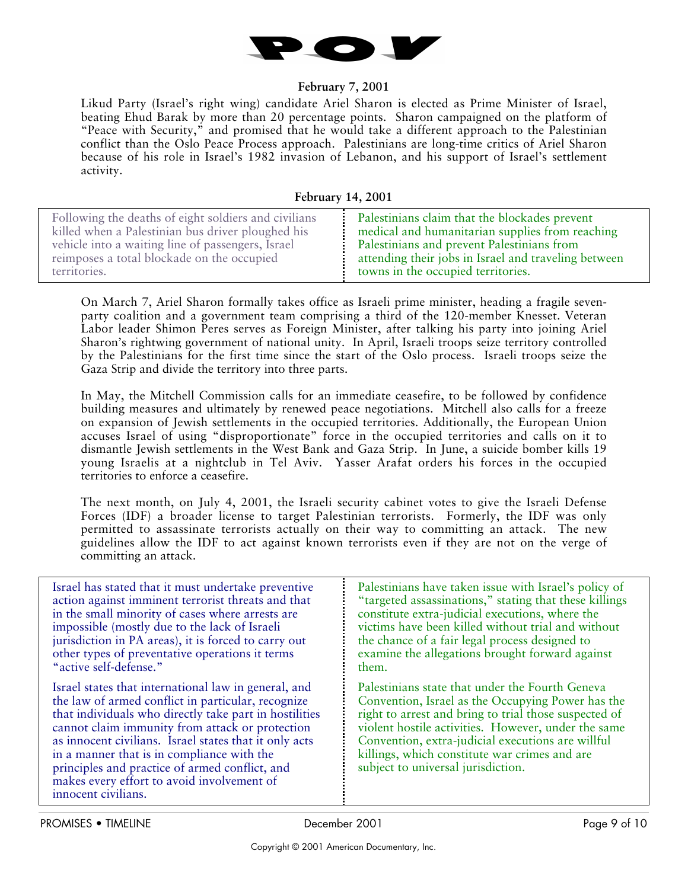

# **February 7, 2001**

Likud Party (Israel's right wing) candidate Ariel Sharon is elected as Prime Minister of Israel, beating Ehud Barak by more than 20 percentage points. Sharon campaigned on the platform of "Peace with Security," and promised that he would take a different approach to the Palestinian conflict than the Oslo Peace Process approach. Palestinians are long-time critics of Ariel Sharon because of his role in Israel's 1982 invasion of Lebanon, and his support of Israel's settlement activity.

**February 14, 2001**

On March 7, Ariel Sharon formally takes office as Israeli prime minister, heading a fragile sevenparty coalition and a government team comprising a third of the 120-member Knesset. Veteran Labor leader Shimon Peres serves as Foreign Minister, after talking his party into joining Ariel Sharon's rightwing government of national unity. In April, Israeli troops seize territory controlled by the Palestinians for the first time since the start of the Oslo process. Israeli troops seize the Gaza Strip and divide the territory into three parts.

In May, the Mitchell Commission calls for an immediate ceasefire, to be followed by confidence building measures and ultimately by renewed peace negotiations. Mitchell also calls for a freeze on expansion of Jewish settlements in the occupied territories. Additionally, the European Union accuses Israel of using "disproportionate" force in the occupied territories and calls on it to dismantle Jewish settlements in the West Bank and Gaza Strip. In June, a suicide bomber kills 19 young Israelis at a nightclub in Tel Aviv. Yasser Arafat orders his forces in the occupied territories to enforce a ceasefire.

The next month, on July 4, 2001, the Israeli security cabinet votes to give the Israeli Defense Forces (IDF) a broader license to target Palestinian terrorists. Formerly, the IDF was only permitted to assassinate terrorists actually on their way to committing an attack. The new guidelines allow the IDF to act against known terrorists even if they are not on the verge of committing an attack.

| Israel has stated that it must undertake preventive                                                                                                                                                                                                                                                                                                                                                                                                    | Palestinians have taken issue with Israel's policy of                                                                                                                                                                                                                                                                                                            |
|--------------------------------------------------------------------------------------------------------------------------------------------------------------------------------------------------------------------------------------------------------------------------------------------------------------------------------------------------------------------------------------------------------------------------------------------------------|------------------------------------------------------------------------------------------------------------------------------------------------------------------------------------------------------------------------------------------------------------------------------------------------------------------------------------------------------------------|
| action against imminent terrorist threats and that                                                                                                                                                                                                                                                                                                                                                                                                     | "targeted assassinations," stating that these killings                                                                                                                                                                                                                                                                                                           |
| in the small minority of cases where arrests are                                                                                                                                                                                                                                                                                                                                                                                                       | constitute extra-judicial executions, where the                                                                                                                                                                                                                                                                                                                  |
| impossible (mostly due to the lack of Israeli                                                                                                                                                                                                                                                                                                                                                                                                          | victims have been killed without trial and without                                                                                                                                                                                                                                                                                                               |
| jurisdiction in PA areas), it is forced to carry out                                                                                                                                                                                                                                                                                                                                                                                                   | the chance of a fair legal process designed to                                                                                                                                                                                                                                                                                                                   |
| other types of preventative operations it terms                                                                                                                                                                                                                                                                                                                                                                                                        | examine the allegations brought forward against                                                                                                                                                                                                                                                                                                                  |
| "active self-defense."                                                                                                                                                                                                                                                                                                                                                                                                                                 | them.                                                                                                                                                                                                                                                                                                                                                            |
| Israel states that international law in general, and<br>the law of armed conflict in particular, recognize<br>that individuals who directly take part in hostilities<br>cannot claim immunity from attack or protection<br>as innocent civilians. Israel states that it only acts<br>in a manner that is in compliance with the<br>principles and practice of armed conflict, and<br>makes every effort to avoid involvement of<br>innocent civilians. | Palestinians state that under the Fourth Geneva<br>Convention, Israel as the Occupying Power has the<br>right to arrest and bring to trial those suspected of<br>violent hostile activities. However, under the same<br>Convention, extra-judicial executions are willful<br>killings, which constitute war crimes and are<br>subject to universal jurisdiction. |